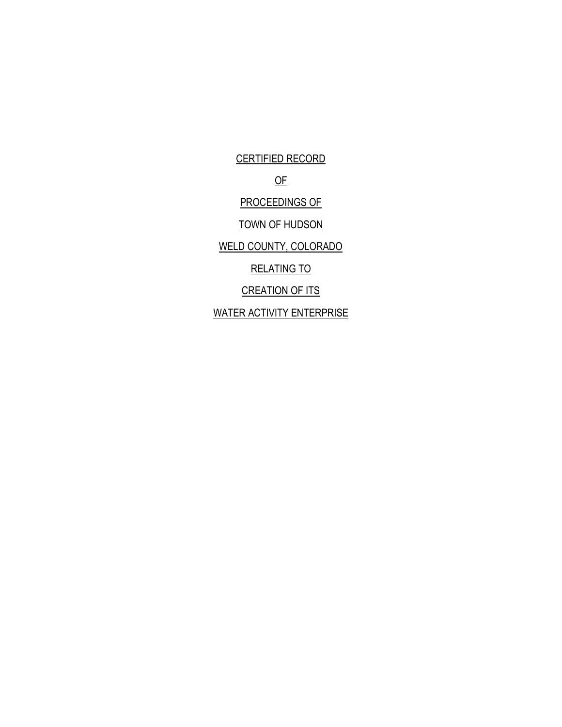CERTIFIED RECORD OF PROCEEDINGS OF TOWN OF HUDSON WELD COUNTY, COLORADO RELATING TO CREATION OF ITS WATER ACTIVITY ENTERPRISE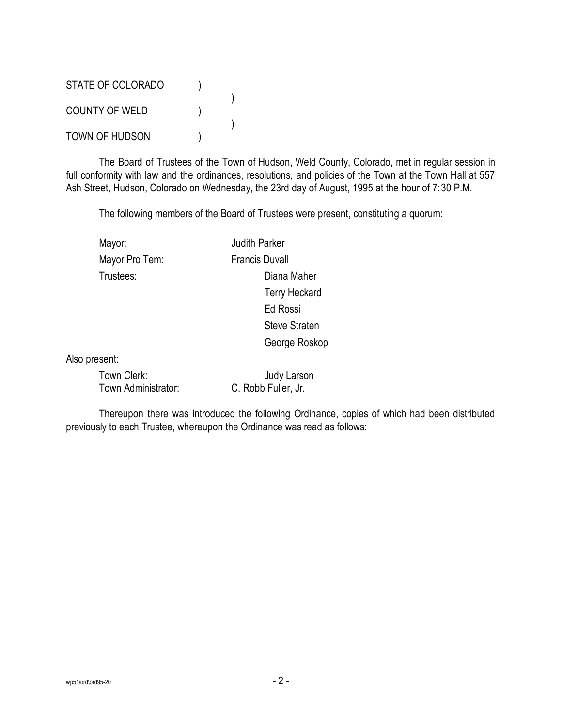STATE OF COLORADO ) ) COUNTY OF WELD ) ) TOWN OF HUDSON (1)

The Board of Trustees of the Town of Hudson, Weld County, Colorado, met in regular session in full conformity with law and the ordinances, resolutions, and policies of the Town at the Town Hall at 557 Ash Street, Hudson, Colorado on Wednesday, the 23rd day of August, 1995 at the hour of 7:30 P.M.

The following members of the Board of Trustees were present, constituting a quorum:

Mayor: **Mayor:** Judith Parker Mayor Pro Tem: Francis Duvall

Trustees: Diana Maher Terry Heckard Ed Rossi Steve Straten George Roskop

Also present:

| Town Clerk:         | Judy Larson         |
|---------------------|---------------------|
| Town Administrator: | C. Robb Fuller, Jr. |

Thereupon there was introduced the following Ordinance, copies of which had been distributed previously to each Trustee, whereupon the Ordinance was read as follows: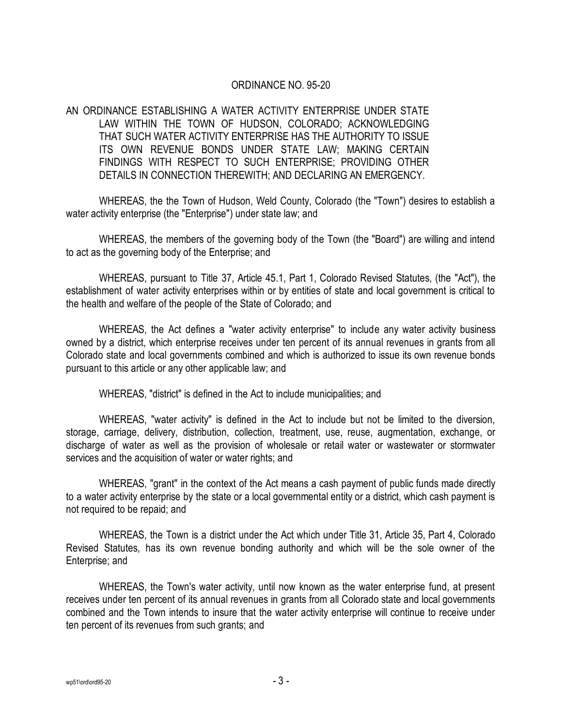## ORDINANCE NO. 95-20

AN ORDINANCE ESTABLISHING A WATER ACTIVITY ENTERPRISE UNDER STATE LAW WITHIN THE TOWN OF HUDSON, COLORADO; ACKNOWLEDGING THAT SUCH WATER ACTIVITY ENTERPRISE HAS THE AUTHORITY TO ISSUE ITS OWN REVENUE BONDS UNDER STATE LAW; MAKING CERTAIN FINDINGS WITH RESPECT TO SUCH ENTERPRISE; PROVIDING OTHER DETAILS IN CONNECTION THEREWITH; AND DECLARING AN EMERGENCY.

WHEREAS, the the Town of Hudson, Weld County, Colorado (the "Town") desires to establish a water activity enterprise (the "Enterprise") under state law; and

WHEREAS, the members of the governing body of the Town (the "Board") are willing and intend to act as the governing body of the Enterprise; and

WHEREAS, pursuant to Title 37, Article 45.1, Part 1, Colorado Revised Statutes, (the "Act"), the establishment of water activity enterprises within or by entities of state and local government is critical to the health and welfare of the people of the State of Colorado; and

WHEREAS, the Act defines a "water activity enterprise" to include any water activity business owned by a district, which enterprise receives under ten percent of its annual revenues in grants from all Colorado state and local governments combined and which is authorized to issue its own revenue bonds pursuant to this article or any other applicable law; and

WHEREAS, "district" is defined in the Act to include municipalities; and

WHEREAS, "water activity" is defined in the Act to include but not be limited to the diversion, storage, carriage, delivery, distribution, collection, treatment, use, reuse, augmentation, exchange, or discharge of water as well as the provision of wholesale or retail water or wastewater or stormwater services and the acquisition of water or water rights; and

WHEREAS, "grant" in the context of the Act means a cash payment of public funds made directly to a water activity enterprise by the state or a local governmental entity or a district, which cash payment is not required to be repaid; and

WHEREAS, the Town is a district under the Act which under Title 31, Article 35, Part 4, Colorado Revised Statutes, has its own revenue bonding authority and which will be the sole owner of the Enterprise; and

WHEREAS, the Town's water activity, until now known as the water enterprise fund, at present receives under ten percent of its annual revenues in grants from all Colorado state and local governments combined and the Town intends to insure that the water activity enterprise will continue to receive under ten percent of its revenues from such grants; and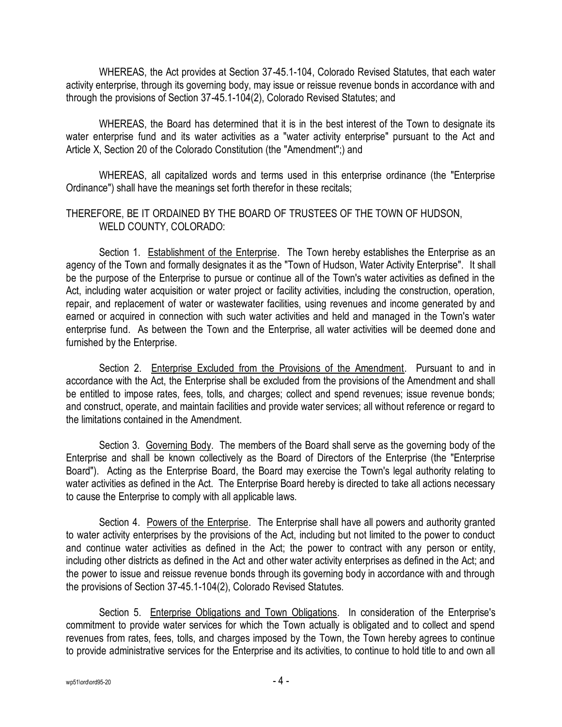WHEREAS, the Act provides at Section 37-45.1-104, Colorado Revised Statutes, that each water activity enterprise, through its governing body, may issue or reissue revenue bonds in accordance with and through the provisions of Section 37-45.1-104(2), Colorado Revised Statutes; and

WHEREAS, the Board has determined that it is in the best interest of the Town to designate its water enterprise fund and its water activities as a "water activity enterprise" pursuant to the Act and Article X, Section 20 of the Colorado Constitution (the "Amendment";) and

WHEREAS, all capitalized words and terms used in this enterprise ordinance (the "Enterprise Ordinance") shall have the meanings set forth therefor in these recitals;

## THEREFORE, BE IT ORDAINED BY THE BOARD OF TRUSTEES OF THE TOWN OF HUDSON, WELD COUNTY, COLORADO:

Section 1. Establishment of the Enterprise. The Town hereby establishes the Enterprise as an agency of the Town and formally designates it as the "Town of Hudson, Water Activity Enterprise". It shall be the purpose of the Enterprise to pursue or continue all of the Town's water activities as defined in the Act, including water acquisition or water project or facility activities, including the construction, operation, repair, and replacement of water or wastewater facilities, using revenues and income generated by and earned or acquired in connection with such water activities and held and managed in the Town's water enterprise fund. As between the Town and the Enterprise, all water activities will be deemed done and furnished by the Enterprise.

Section 2. Enterprise Excluded from the Provisions of the Amendment. Pursuant to and in accordance with the Act, the Enterprise shall be excluded from the provisions of the Amendment and shall be entitled to impose rates, fees, tolls, and charges; collect and spend revenues; issue revenue bonds; and construct, operate, and maintain facilities and provide water services; all without reference or regard to the limitations contained in the Amendment.

Section 3. Governing Body. The members of the Board shall serve as the governing body of the Enterprise and shall be known collectively as the Board of Directors of the Enterprise (the "Enterprise Board"). Acting as the Enterprise Board, the Board may exercise the Town's legal authority relating to water activities as defined in the Act. The Enterprise Board hereby is directed to take all actions necessary to cause the Enterprise to comply with all applicable laws.

Section 4. Powers of the Enterprise. The Enterprise shall have all powers and authority granted to water activity enterprises by the provisions of the Act, including but not limited to the power to conduct and continue water activities as defined in the Act; the power to contract with any person or entity, including other districts as defined in the Act and other water activity enterprises as defined in the Act; and the power to issue and reissue revenue bonds through its governing body in accordance with and through the provisions of Section 37-45.1-104(2), Colorado Revised Statutes.

Section 5. Enterprise Obligations and Town Obligations. In consideration of the Enterprise's commitment to provide water services for which the Town actually is obligated and to collect and spend revenues from rates, fees, tolls, and charges imposed by the Town, the Town hereby agrees to continue to provide administrative services for the Enterprise and its activities, to continue to hold title to and own all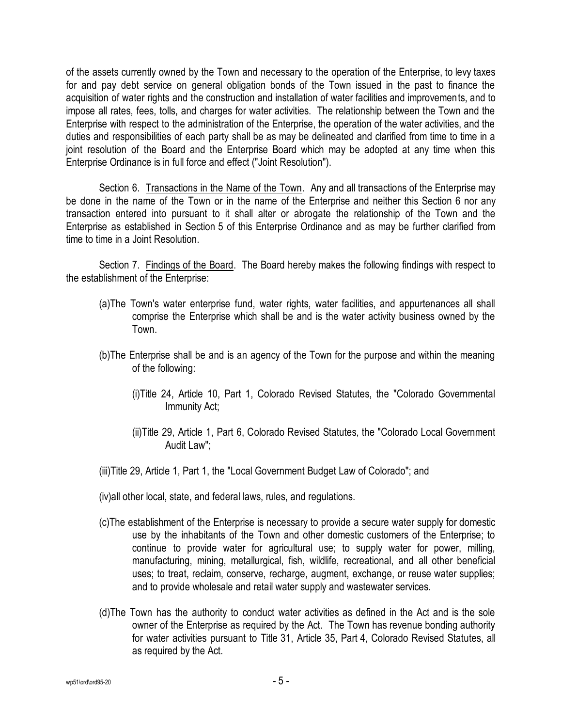of the assets currently owned by the Town and necessary to the operation of the Enterprise, to levy taxes for and pay debt service on general obligation bonds of the Town issued in the past to finance the acquisition of water rights and the construction and installation of water facilities and improvements, and to impose all rates, fees, tolls, and charges for water activities. The relationship between the Town and the Enterprise with respect to the administration of the Enterprise, the operation of the water activities, and the duties and responsibilities of each party shall be as may be delineated and clarified from time to time in a joint resolution of the Board and the Enterprise Board which may be adopted at any time when this Enterprise Ordinance is in full force and effect ("Joint Resolution").

Section 6. Transactions in the Name of the Town. Any and all transactions of the Enterprise may be done in the name of the Town or in the name of the Enterprise and neither this Section 6 nor any transaction entered into pursuant to it shall alter or abrogate the relationship of the Town and the Enterprise as established in Section 5 of this Enterprise Ordinance and as may be further clarified from time to time in a Joint Resolution.

Section 7. Findings of the Board. The Board hereby makes the following findings with respect to the establishment of the Enterprise:

- (a)The Town's water enterprise fund, water rights, water facilities, and appurtenances all shall comprise the Enterprise which shall be and is the water activity business owned by the Town.
- (b)The Enterprise shall be and is an agency of the Town for the purpose and within the meaning of the following:
	- (i)Title 24, Article 10, Part 1, Colorado Revised Statutes, the "Colorado Governmental Immunity Act;
	- (ii)Title 29, Article 1, Part 6, Colorado Revised Statutes, the "Colorado Local Government Audit Law";
- (iii)Title 29, Article 1, Part 1, the "Local Government Budget Law of Colorado"; and
- (iv)all other local, state, and federal laws, rules, and regulations.
- (c)The establishment of the Enterprise is necessary to provide a secure water supply for domestic use by the inhabitants of the Town and other domestic customers of the Enterprise; to continue to provide water for agricultural use; to supply water for power, milling, manufacturing, mining, metallurgical, fish, wildlife, recreational, and all other beneficial uses; to treat, reclaim, conserve, recharge, augment, exchange, or reuse water supplies; and to provide wholesale and retail water supply and wastewater services.
- (d)The Town has the authority to conduct water activities as defined in the Act and is the sole owner of the Enterprise as required by the Act. The Town has revenue bonding authority for water activities pursuant to Title 31, Article 35, Part 4, Colorado Revised Statutes, all as required by the Act.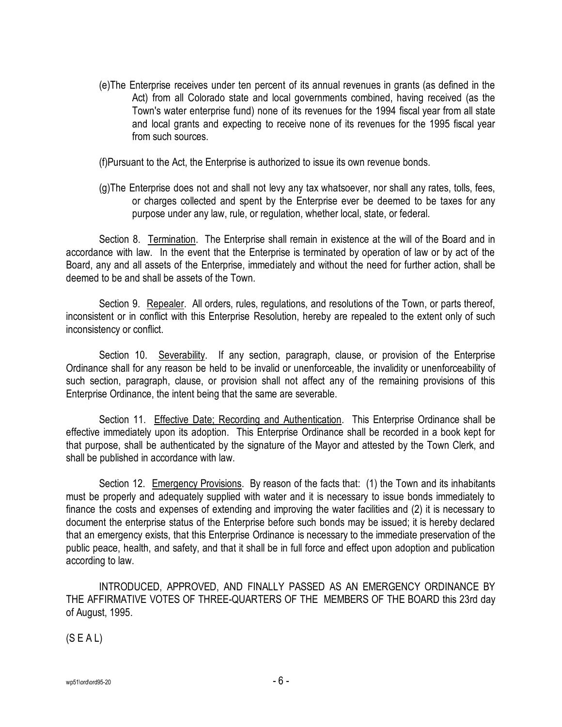(e)The Enterprise receives under ten percent of its annual revenues in grants (as defined in the Act) from all Colorado state and local governments combined, having received (as the Town's water enterprise fund) none of its revenues for the 1994 fiscal year from all state and local grants and expecting to receive none of its revenues for the 1995 fiscal year from such sources.

(f)Pursuant to the Act, the Enterprise is authorized to issue its own revenue bonds.

(g)The Enterprise does not and shall not levy any tax whatsoever, nor shall any rates, tolls, fees, or charges collected and spent by the Enterprise ever be deemed to be taxes for any purpose under any law, rule, or regulation, whether local, state, or federal.

Section 8. Termination. The Enterprise shall remain in existence at the will of the Board and in accordance with law. In the event that the Enterprise is terminated by operation of law or by act of the Board, any and all assets of the Enterprise, immediately and without the need for further action, shall be deemed to be and shall be assets of the Town.

Section 9. Repealer. All orders, rules, regulations, and resolutions of the Town, or parts thereof, inconsistent or in conflict with this Enterprise Resolution, hereby are repealed to the extent only of such inconsistency or conflict.

Section 10. Severability. If any section, paragraph, clause, or provision of the Enterprise Ordinance shall for any reason be held to be invalid or unenforceable, the invalidity or unenforceability of such section, paragraph, clause, or provision shall not affect any of the remaining provisions of this Enterprise Ordinance, the intent being that the same are severable.

Section 11. Effective Date; Recording and Authentication. This Enterprise Ordinance shall be effective immediately upon its adoption. This Enterprise Ordinance shall be recorded in a book kept for that purpose, shall be authenticated by the signature of the Mayor and attested by the Town Clerk, and shall be published in accordance with law.

Section 12. Emergency Provisions. By reason of the facts that: (1) the Town and its inhabitants must be properly and adequately supplied with water and it is necessary to issue bonds immediately to finance the costs and expenses of extending and improving the water facilities and (2) it is necessary to document the enterprise status of the Enterprise before such bonds may be issued; it is hereby declared that an emergency exists, that this Enterprise Ordinance is necessary to the immediate preservation of the public peace, health, and safety, and that it shall be in full force and effect upon adoption and publication according to law.

INTRODUCED, APPROVED, AND FINALLY PASSED AS AN EMERGENCY ORDINANCE BY THE AFFIRMATIVE VOTES OF THREE-QUARTERS OF THE MEMBERS OF THE BOARD this 23rd day of August, 1995.

(S E A L)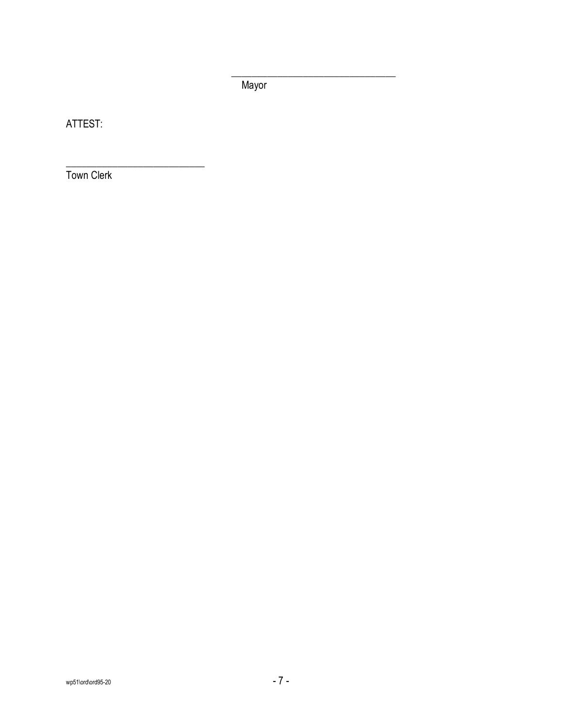Mayor

\_\_\_\_\_\_\_\_\_\_\_\_\_\_\_\_\_\_\_\_\_\_\_\_\_\_\_\_\_\_\_\_

ATTEST:

Town Clerk

\_\_\_\_\_\_\_\_\_\_\_\_\_\_\_\_\_\_\_\_\_\_\_\_\_\_\_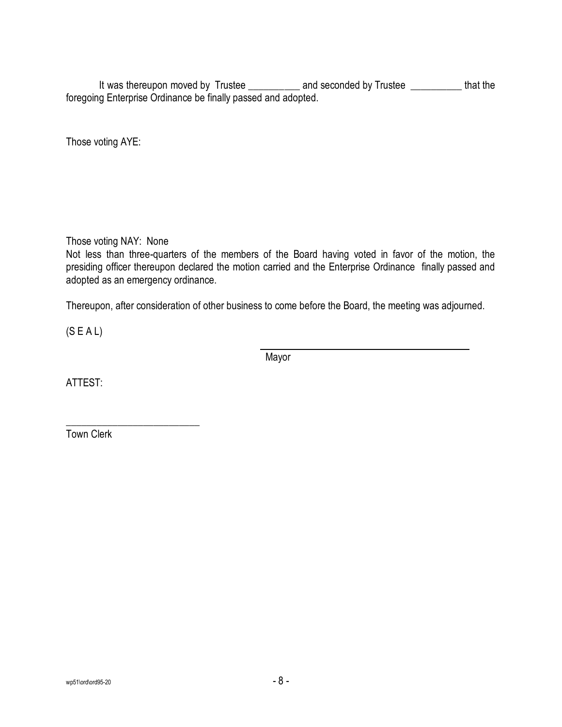It was thereupon moved by Trustee \_\_\_\_\_\_\_\_\_\_ and seconded by Trustee \_\_\_\_\_\_\_\_\_\_\_ that the foregoing Enterprise Ordinance be finally passed and adopted.

Those voting AYE:

Those voting NAY: None

Not less than three-quarters of the members of the Board having voted in favor of the motion, the presiding officer thereupon declared the motion carried and the Enterprise Ordinance finally passed and adopted as an emergency ordinance.

Thereupon, after consideration of other business to come before the Board, the meeting was adjourned.

(S E A L)

Mayor

ATTEST:

\_\_\_\_\_\_\_\_\_\_\_\_\_\_\_\_\_\_\_\_\_\_\_\_\_\_ Town Clerk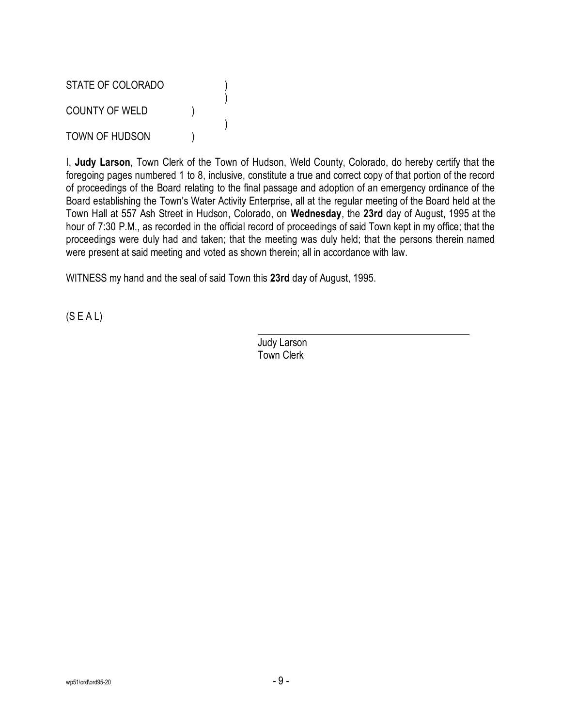STATE OF COLORADO (1) ) COUNTY OF WELD ) ) TOWN OF HUDSON (1)

I, **Judy Larson**, Town Clerk of the Town of Hudson, Weld County, Colorado, do hereby certify that the foregoing pages numbered 1 to 8, inclusive, constitute a true and correct copy of that portion of the record of proceedings of the Board relating to the final passage and adoption of an emergency ordinance of the Board establishing the Town's Water Activity Enterprise, all at the regular meeting of the Board held at the Town Hall at 557 Ash Street in Hudson, Colorado, on **Wednesday**, the **23rd** day of August, 1995 at the hour of 7:30 P.M., as recorded in the official record of proceedings of said Town kept in my office; that the proceedings were duly had and taken; that the meeting was duly held; that the persons therein named were present at said meeting and voted as shown therein; all in accordance with law.

WITNESS my hand and the seal of said Town this **23rd** day of August, 1995.

 $(S E A L)$ 

Judy Larson Town Clerk